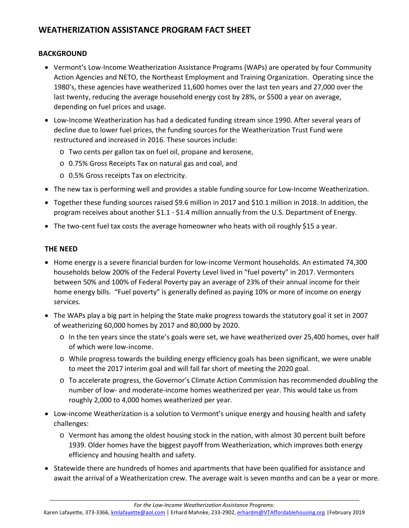# **WEATHERIZATION ASSISTANCE PROGRAM FACT SHEET**

## **BACKGROUND**

- Vermont's Low-Income Weatherization Assistance Programs (WAPs) are operated by four Community Action Agencies and NETO, the Northeast Employment and Training Organization. Operating since the 1980's, these agencies have weatherized 11,600 homes over the last ten years and 27,000 over the last twenty, reducing the average household energy cost by 28%, or \$500 a year on average, depending on fuel prices and usage.
- Low‐Income Weatherization has had a dedicated funding stream since 1990. After several years of decline due to lower fuel prices, the funding sources for the Weatherization Trust Fund were restructured and increased in 2016. These sources include:
	- o Two cents per gallon tax on fuel oil, propane and kerosene,
	- o 0.75% Gross Receipts Tax on natural gas and coal, and
	- o 0.5% Gross receipts Tax on electricity.
- The new tax is performing well and provides a stable funding source for Low-Income Weatherization.
- Together these funding sources raised \$9.6 million in 2017 and \$10.1 million in 2018. In addition, the program receives about another \$1.1 ‐ \$1.4 million annually from the U.S. Department of Energy.
- The two-cent fuel tax costs the average homeowner who heats with oil roughly \$15 a year.

## **THE NEED**

- Home energy is a severe financial burden for low-income Vermont households. An estimated 74,300 households below 200% of the Federal Poverty Level lived in "fuel poverty" in 2017. Vermonters between 50% and 100% of Federal Poverty pay an average of 23% of their annual income for their home energy bills. "Fuel poverty" is generally defined as paying 10% or more of income on energy services.
- The WAPs play a big part in helping the State make progress towards the statutory goal it set in 2007 of weatherizing 60,000 homes by 2017 and 80,000 by 2020.
	- o In the ten years since the state's goals were set, we have weatherized over 25,400 homes, over half of which were low‐income.
	- o While progress towards the building energy efficiency goals has been significant, we were unable to meet the 2017 interim goal and will fall far short of meeting the 2020 goal.
	- o To accelerate progress, the Governor's Climate Action Commission has recommended *doubling* the number of low‐ and moderate‐income homes weatherized per year. This would take us from roughly 2,000 to 4,000 homes weatherized per year.
- Low-income Weatherization is a solution to Vermont's unique energy and housing health and safety challenges:
	- o Vermont has among the oldest housing stock in the nation, with almost 30 percent built before 1939. Older homes have the biggest payoff from Weatherization, which improves both energy efficiency and housing health and safety.
- Statewide there are hundreds of homes and apartments that have been qualified for assistance and await the arrival of a Weatherization crew. The average wait is seven months and can be a year or more.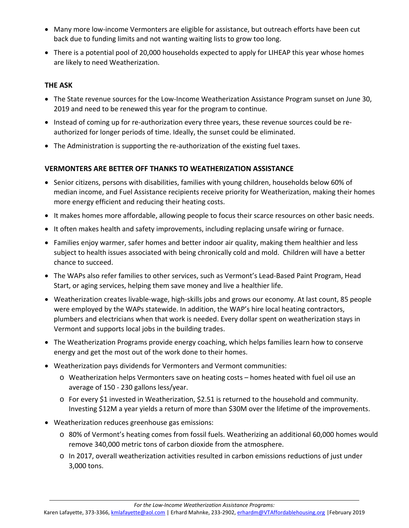- Many more low-income Vermonters are eligible for assistance, but outreach efforts have been cut back due to funding limits and not wanting waiting lists to grow too long.
- There is a potential pool of 20,000 households expected to apply for LIHEAP this year whose homes are likely to need Weatherization.

## **THE ASK**

- The State revenue sources for the Low-Income Weatherization Assistance Program sunset on June 30, 2019 and need to be renewed this year for the program to continue.
- Instead of coming up for re-authorization every three years, these revenue sources could be reauthorized for longer periods of time. Ideally, the sunset could be eliminated.
- The Administration is supporting the re-authorization of the existing fuel taxes.

## **VERMONTERS ARE BETTER OFF THANKS TO WEATHERIZATION ASSISTANCE**

- Senior citizens, persons with disabilities, families with young children, households below 60% of median income, and Fuel Assistance recipients receive priority for Weatherization, making their homes more energy efficient and reducing their heating costs.
- It makes homes more affordable, allowing people to focus their scarce resources on other basic needs.
- It often makes health and safety improvements, including replacing unsafe wiring or furnace.
- Families enjoy warmer, safer homes and better indoor air quality, making them healthier and less subject to health issues associated with being chronically cold and mold. Children will have a better chance to succeed.
- The WAPs also refer families to other services, such as Vermont's Lead-Based Paint Program, Head Start, or aging services, helping them save money and live a healthier life.
- Weatherization creates livable-wage, high-skills jobs and grows our economy. At last count, 85 people were employed by the WAPs statewide. In addition, the WAP's hire local heating contractors, plumbers and electricians when that work is needed. Every dollar spent on weatherization stays in Vermont and supports local jobs in the building trades.
- The Weatherization Programs provide energy coaching, which helps families learn how to conserve energy and get the most out of the work done to their homes.
- Weatherization pays dividends for Vermonters and Vermont communities:
	- o Weatherization helps Vermonters save on heating costs homes heated with fuel oil use an average of 150 ‐ 230 gallons less/year.
	- $\circ$  For every \$1 invested in Weatherization, \$2.51 is returned to the household and community. Investing \$12M a year yields a return of more than \$30M over the lifetime of the improvements.
- Weatherization reduces greenhouse gas emissions:
	- o 80% of Vermont's heating comes from fossil fuels. Weatherizing an additional 60,000 homes would remove 340,000 metric tons of carbon dioxide from the atmosphere.
	- o In 2017, overall weatherization activities resulted in carbon emissions reductions of just under 3,000 tons.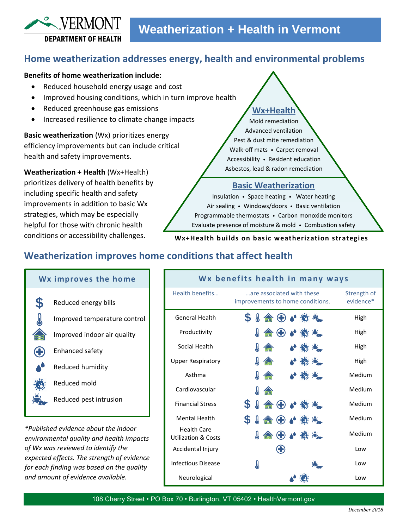# **Home weatherization addresses energy, health and environmental problems**

### **Benefits of home weatherization include:**

 $\sim$  VERMONT

**DEPARTMENT OF HEALTH** 

- Reduced household energy usage and cost
- Improved housing conditions, which in turn improve health
- Reduced greenhouse gas emissions
- Increased resilience to climate change impacts

**Basic weatherization** (Wx) prioritizes energy efficiency improvements but can include critical health and safety improvements.

**Weatherization + Health** (Wx+Health) prioritizes delivery of health benefits by including specific health and safety improvements in addition to basic Wx strategies, which may be especially helpful for those with chronic health conditions or accessibility challenges.

# **Wx+Health**

Mold remediation Advanced ventilation Pest & dust mite remediation Walk-off mats • Carpet removal Accessibility • Resident education Asbestos, lead & radon remediation

### **Basic Weatherization**

Insulation • Space heating • Water heating Air sealing • Windows/doors • Basic ventilation Programmable thermostats • Carbon monoxide monitors Evaluate presence of moisture & mold • Combustion safety

#### **Wx+Health builds on basic weatherization strategies**

# **Weatherization improves home conditions that affect health**

|              | Wx improves the home         |
|--------------|------------------------------|
| $\mathbf{S}$ | Reduced energy bills         |
|              | Improved temperature control |
|              | Improved indoor air quality  |
|              | Enhanced safety              |
|              | Reduced humidity             |
|              | Reduced mold                 |
|              | Reduced pest intrusion       |
|              |                              |

*\*Published evidence about the indoor environmental quality and health impacts of Wx was reviewed to identify the expected effects. The strength of evidence for each finding was based on the quality and amount of evidence available.*

|                                                      |                                                               | Wx benefits health in many ways |                          |
|------------------------------------------------------|---------------------------------------------------------------|---------------------------------|--------------------------|
| Health benefits                                      | are associated with these<br>improvements to home conditions. |                                 | Strength of<br>evidence* |
| <b>General Health</b>                                | $\mathbf S$<br><b>↓ 合 ← ◆ 卷 卷</b>                             |                                 | High                     |
| Productivity                                         | $\bigoplus$                                                   | ●鬱米                             | High                     |
| Social Health                                        | Д                                                             |                                 | High                     |
| <b>Upper Respiratory</b>                             | Ж                                                             |                                 | High                     |
| Asthma                                               | Ж                                                             |                                 | Medium                   |
| Cardiovascular                                       | Y.                                                            |                                 | Medium                   |
| <b>Financial Stress</b>                              | $\boldsymbol{\mathsf{S}}$<br>A                                | (+) ♪ 数米                        | Medium                   |
| <b>Mental Health</b>                                 | \$<br>$\mathbb{R}$                                            | 含←◆卷卷                           | Medium                   |
| <b>Health Care</b><br><b>Utilization &amp; Costs</b> | ↓ 合 ⊕ ♪ ※ 卷                                                   |                                 | Medium                   |
| Accidental Injury                                    |                                                               |                                 | Low                      |
| Infectious Disease                                   | y                                                             |                                 | Low                      |
| Neurological                                         |                                                               |                                 | Low                      |

108 Cherry Street • PO Box 70 • Burlington, VT 05402 • HealthVermont.gov